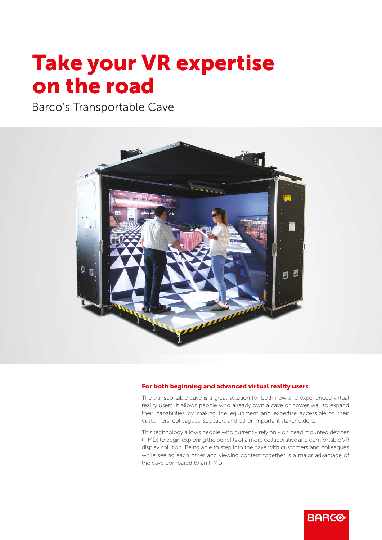## Take your VR expertise on the road

Barco's Transportable Cave



### For both beginning and advanced virtual reality users

The transportable cave is a great solution for both new and experienced virtual reality users. It allows people who already own a cave or power wall to expand their capabilities by making the equipment and expertise accessible to their customers, colleagues, suppliers and other important stakeholders.

This technology allows people who currently rely only on head mounted devices (HMD) to begin exploring the benefits of a more collaborative and comfortable VR display solution. Being able to step into the cave with customers and colleagues while seeing each other and viewing content together is a major advantage of the cave compared to an HMD.

**BARCO**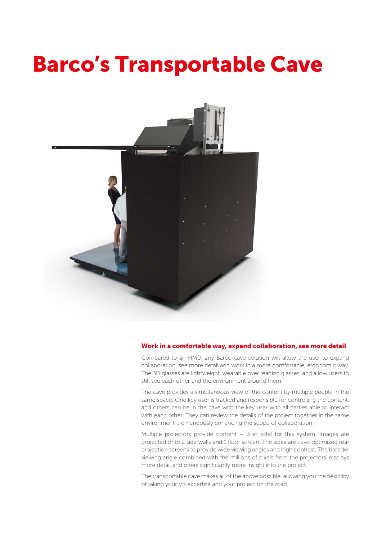# Barco's Transportable Cave



#### Work in a comfortable way, expand collaboration, see more detail

Compared to an HMD, any Barco cave solution will allow the user to expand collaboration, see more detail and work in a more comfortable, ergonomic way. The 3D glasses are lightweight, wearable over reading glasses, and allow users to still see each other and the environment around them.

The cave provides a simultaneous view of the content by multiple people in the same space. One key user is tracked and responsible for controlling the content, and others can be in the cave with the key user with all parties able to interact with each other. They can review the details of the project together in the same environment, tremendously enhancing the scope of collaboration.

Multiple projectors provide content  $-$  3 in total for this system. Images are projected onto 2 side walls and 1 floor screen. The sides are cave-optimized rear projection screens to provide wide viewing angles and high contrast. The broader viewing angle combined with the millions of pixels from the projectors' displays more detail and offers significantly more insight into the project.

The transportable cave makes all of the above possible, allowing you the flexibility of taking your VR expertise and your project on the road.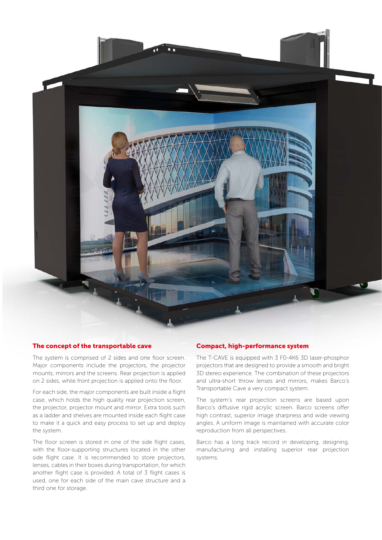

## The concept of the transportable cave

The system is comprised of 2 sides and one floor screen. Major components include the projectors, the projector mounts, mirrors and the screens. Rear projection is applied on 2 sides, while front projection is applied onto the floor.

For each side, the major components are built inside a flight case, which holds the high quality rear projection screen, the projector, projector mount and mirror. Extra tools such as a ladder and shelves are mounted inside each flight case to make it a quick and easy process to set up and deploy the system.

The floor screen is stored in one of the side flight cases, with the floor-supporting structures located in the other side flight case. It is recommended to store projectors, lenses, cables in their boxes during transportation, for which another flight case is provided. A total of 3 flight cases is used, one for each side of the main cave structure and a third one for storage.

## Compact, high-performance system

The T-CAVE is equipped with 3 F0-4K6 3D laser-phosphor projectors that are designed to provide a smooth and bright 3D stereo experience. The combination of these projectors and ultra-short throw lenses and mirrors, makes Barco's Transportable Cave a very compact system.

The system's rear projection screens are based upon Barco's diffusive rigid acrylic screen. Barco screens offer high contrast, superior image sharpness and wide viewing angles. A uniform image is maintained with accurate color reproduction from all perspectives.

Barco has a long track record in developing, designing, manufacturing and installing superior rear projection systems.